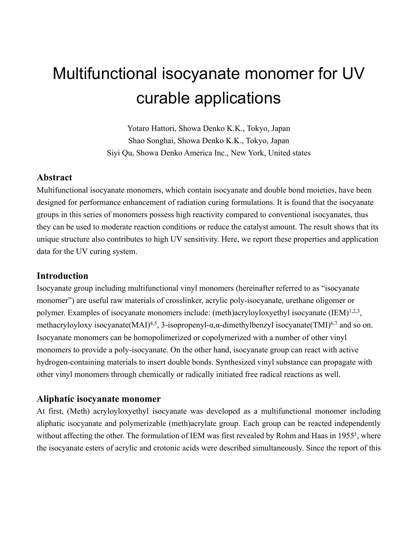# Multifunctional isocyanate monomer for UV curable applications

Yotaro Hattori, Showa Denko K.K., Tokyo, Japan Shao Songhai, Showa Denko K.K., Tokyo, Japan Siyi Qu, Showa Denko America Inc., New York, United states

## **Abstract**

Multifunctional isocyanate monomers, which contain isocyanate and double bond moieties, have been designed for performance enhancement of radiation curing formulations. It is found that the isocyanate groups in this series of monomers possess high reactivity compared to conventional isocyanates, thus they can be used to moderate reaction conditions or reduce the catalyst amount. The result shows that its unique structure also contributes to high UV sensitivity. Here, we report these properties and application data for the UV curing system.

## **Introduction**

Isocyanate group including multifunctional vinyl monomers (hereinafter referred to as "isocyanate monomer") are useful raw materials of crosslinker, acrylic poly-isocyanate, urethane oligomer or polymer. Examples of isocyanate monomers include: (meth)acryloyloxyethyl isocyanate (IEM)<sup>1,2,3</sup>, methacryloyloxy isocyanate(MAI)<sup>4,5</sup>, 3-isopropenyl- $\alpha, \alpha$ -dimethylbenzyl isocyanate(TMI)<sup>6,7</sup> and so on. Isocyanate monomers can be homopolimerized or copolymerized with a number of other vinyl monomers to provide a poly-isocyanate. On the other hand, isocyanate group can react with active hydrogen-containing materials to insert double bonds. Synthesized vinyl substance can propagate with other vinyl monomers through chemically or radically initiated free radical reactions as well.

### **Aliphatic isocyanate monomer**

At first, (Meth) acryloyloxyethyl isocyanate was developed as a multifunctional monomer including aliphatic isocyanate and polymerizable (meth)acrylate group. Each group can be reacted independently without affecting the other. The formulation of IEM was first revealed by Rohm and Haas in 1955<sup>1</sup>, where the isocyanate esters of acrylic and crotonic acids were described simultaneously. Since the report of this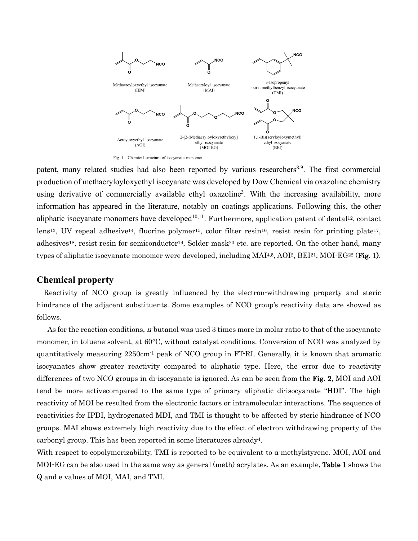

patent, many related studies had also been reported by various researchers<sup>8,9</sup>. The first commercial production of methacryloyloxyethyl isocyanate was developed by Dow Chemical via oxazoline chemistry using derivative of commercially available ethyl oxazoline<sup>3</sup>. With the increasing availability, more information has appeared in the literature, notably on coatings applications. Following this, the other aliphatic isocyanate monomers have developed<sup>10,11</sup>. Furthermore, application patent of dental<sup>12</sup>, contact lens<sup>13</sup>, UV repeal adhesive<sup>14</sup>, fluorine polymer<sup>15</sup>, color filter resin<sup>16</sup>, resist resin for printing plate<sup>17</sup>, adhesives<sup>18</sup>, resist resin for semiconductor<sup>19</sup>, Solder mask<sup>20</sup> etc. are reported. On the other hand, many types of aliphatic isocyanate monomer were developed, including  $MAI<sup>4,5</sup>, AOI<sup>2</sup>, BEI<sup>21</sup>, MOI<sup>-</sup>EG<sup>22</sup> (Fig. 1).$ 

## **Chemical property**

Reactivity of NCO group is greatly influenced by the electron-withdrawing property and steric hindrance of the adjacent substituents. Some examples of NCO group's reactivity data are showed as follows.

As for the reaction conditions, *n*-butanol was used 3 times more in molar ratio to that of the isocyanate monomer, in toluene solvent, at 60°C, without catalyst conditions. Conversion of NCO was analyzed by quantitatively measuring 2250cm-1 peak of NCO group in FT-RI. Generally, it is known that aromatic isocyanates show greater reactivity compared to aliphatic type. Here, the error due to reactivity differences of two NCO groups in di-isocyanate is ignored. As can be seen from the Fig. 2, MOI and AOI tend be more activecompared to the same type of primary aliphatic di-isocyanate "HDI". The high reactivity of MOI be resulted from the electronic factors or intramolecular interactions. The sequence of reactivities for IPDI, hydrogenated MDI, and TMI is thought to be affected by steric hindrance of NCO groups. MAI shows extremely high reactivity due to the effect of electron withdrawing property of the carbonyl group. This has been reported in some literatures already4.

With respect to copolymerizability, TMI is reported to be equivalent to  $\alpha$ -methylstyrene. MOI, AOI and MOI-EG can be also used in the same way as general (meth) acrylates. As an example, Table 1 shows the Q and e values of MOI, MAI, and TMI.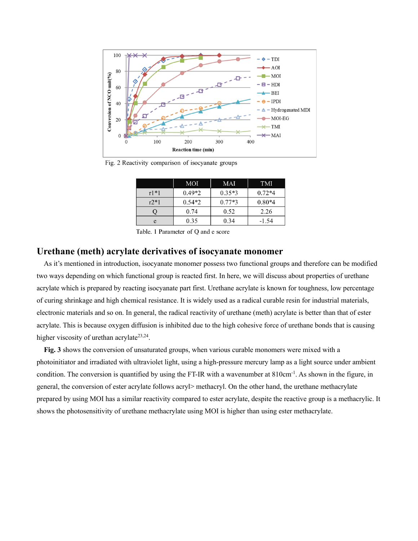

Fig. 2 Reactivity comparison of isocyanate groups

|            | <b>MOI</b> | MAI      | <b>TMI</b> |
|------------|------------|----------|------------|
| $r1*1$     | $0.49*2$   | $0.35*3$ | $0.72*4$   |
| $r2*1$     | $0.54*2$   | $0.77*3$ | $0.80*4$   |
|            | 0.74       | 0.52     | 2.26       |
| $\epsilon$ | 0.35       | 0.34     | $-1.54$    |

Table. 1 Parameter of Q and e score

#### **Urethane (meth) acrylate derivatives of isocyanate monomer**

As it's mentioned in introduction, isocyanate monomer possess two functional groups and therefore can be modified two ways depending on which functional group is reacted first. In here, we will discuss about properties of urethane acrylate which is prepared by reacting isocyanate part first. Urethane acrylate is known for toughness, low percentage of curing shrinkage and high chemical resistance. It is widely used as a radical curable resin for industrial materials, electronic materials and so on. In general, the radical reactivity of urethane (meth) acrylate is better than that of ester acrylate. This is because oxygen diffusion is inhibited due to the high cohesive force of urethane bonds that is causing higher viscosity of urethan acrylate<sup>23,24</sup>.

**Fig. 3** shows the conversion of unsaturated groups, when various curable monomers were mixed with a photoinitiator and irradiated with ultraviolet light, using a high-pressure mercury lamp as a light source under ambient condition. The conversion is quantified by using the FT-IR with a wavenumber at 810cm<sup>-1</sup>. As shown in the figure, in general, the conversion of ester acrylate follows acryl> methacryl. On the other hand, the urethane methacrylate prepared by using MOI has a similar reactivity compared to ester acrylate, despite the reactive group is a methacrylic. It shows the photosensitivity of urethane methacrylate using MOI is higher than using ester methacrylate.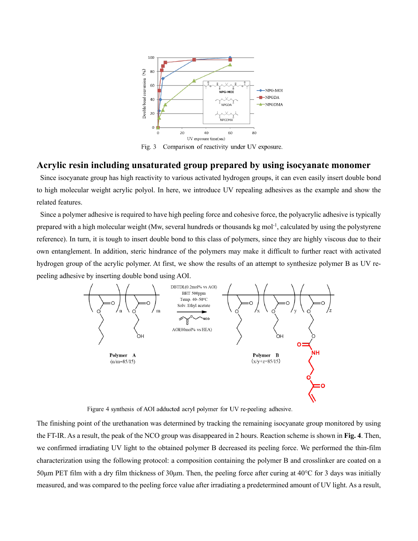

Comparison of reactivity under UV exposure. Fig.  $3$ 

#### **Acrylic resin including unsaturated group prepared by using isocyanate monomer**

Since isocyanate group has high reactivity to various activated hydrogen groups, it can even easily insert double bond to high molecular weight acrylic polyol. In here, we introduce UV repealing adhesives as the example and show the related features.

Since a polymer adhesive is required to have high peeling force and cohesive force, the polyacrylic adhesive is typically prepared with a high molecular weight (Mw, several hundreds or thousands kg mol<sup>-1</sup>, calculated by using the polystyrene reference). In turn, it is tough to insert double bond to this class of polymers, since they are highly viscous due to their own entanglement. In addition, steric hindrance of the polymers may make it difficult to further react with activated hydrogen group of the acrylic polymer. At first, we show the results of an attempt to synthesize polymer B as UV repeeling adhesive by inserting double bond using AOI.



Figure 4 synthesis of AOI adducted acryl polymer for UV re-peeling adhesive.

The finishing point of the urethanation was determined by tracking the remaining isocyanate group monitored by using the FT-IR. As a result, the peak of the NCO group was disappeared in 2 hours. Reaction scheme is shown in **Fig. 4**. Then, we confirmed irradiating UV light to the obtained polymer B decreased its peeling force. We performed the thin-film characterization using the following protocol: a composition containing the polymer B and crosslinker are coated on a 50μm PET film with a dry film thickness of 30μm. Then, the peeling force after curing at  $40^{\circ}$ C for 3 days was initially measured, and was compared to the peeling force value after irradiating a predetermined amount of UV light. As a result,